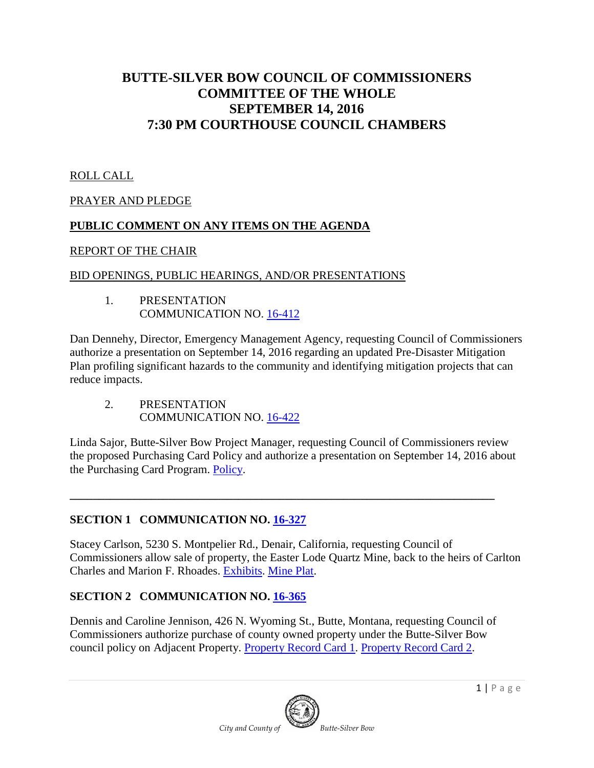# **BUTTE-SILVER BOW COUNCIL OF COMMISSIONERS COMMITTEE OF THE WHOLE SEPTEMBER 14, 2016 7:30 PM COURTHOUSE COUNCIL CHAMBERS**

## ROLL CALL

#### PRAYER AND PLEDGE

#### **PUBLIC COMMENT ON ANY ITEMS ON THE AGENDA**

#### REPORT OF THE CHAIR

#### BID OPENINGS, PUBLIC HEARINGS, AND/OR PRESENTATIONS

1. PRESENTATION COMMUNICATION NO. <u>[16-412](http://co.silverbow.mt.us/DocumentCenter/View/8056)</u>

Dan Dennehy, Director, Emergency Management Agency, requesting Council of Commissioners authorize a presentation on September 14, 2016 regarding an updated Pre-Disaster Mitigation Plan profiling significant hazards to the community and identifying mitigation projects that can reduce impacts.

2. PRESENTATION COMMUNICATION NO. [16-422](http://co.silverbow.mt.us/DocumentCenter/View/8057)

Linda Sajor, Butte-Silver Bow Project Manager, requesting Council of Commissioners review the proposed Purchasing Card Policy and authorize a presentation on September 14, 2016 about the Purchasing Card Program. [Policy.](http://co.silverbow.mt.us/DocumentCenter/View/8007)

**\_\_\_\_\_\_\_\_\_\_\_\_\_\_\_\_\_\_\_\_\_\_\_\_\_\_\_\_\_\_\_\_\_\_\_\_\_\_\_\_\_\_\_\_\_\_\_\_\_\_\_\_\_\_\_\_\_\_\_\_\_\_\_\_\_\_\_\_\_\_\_\_\_**

# **SECTION 1 COMMUNICATION NO. [16-327](http://co.silverbow.mt.us/DocumentCenter/View/7615)**

Stacey Carlson, 5230 S. Montpelier Rd., Denair, California, requesting Council of Commissioners allow sale of property, the Easter Lode Quartz Mine, back to the heirs of Carlton Charles and Marion F. Rhoades. [Exhibits.](http://co.silverbow.mt.us/DocumentCenter/View/7616) [Mine Plat.](http://co.silverbow.mt.us/DocumentCenter/View/7617)

# **SECTION 2 COMMUNICATION NO. [16-365](http://co.silverbow.mt.us/DocumentCenter/View/7770)**

Dennis and Caroline Jennison, 426 N. Wyoming St., Butte, Montana, requesting Council of Commissioners authorize purchase of county owned property under the Butte-Silver Bow council policy on Adjacent Property. [Property Record Card](http://co.silverbow.mt.us/DocumentCenter/View/7771) 1. [Property Record Card](http://co.silverbow.mt.us/DocumentCenter/View/7772) 2.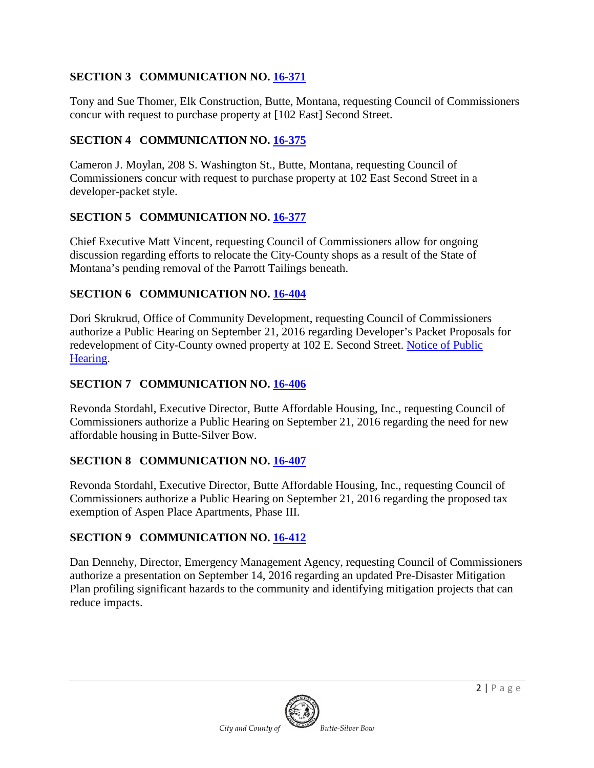#### **SECTION 3 COMMUNICATION NO. [16-371](http://co.silverbow.mt.us/DocumentCenter/View/7780)**

Tony and Sue Thomer, Elk Construction, Butte, Montana, requesting Council of Commissioners concur with request to purchase property at [102 East] Second Street.

#### **SECTION 4 COMMUNICATION NO. [16-375](https://mt-buttesilverbow.civicplus.com/DocumentCenter/View/7796)**

Cameron J. Moylan, 208 S. Washington St., Butte, Montana, requesting Council of Commissioners concur with request to purchase property at 102 East Second Street in a developer-packet style.

# **SECTION 5 COMMUNICATION NO. [16-377](https://mt-buttesilverbow.civicplus.com/DocumentCenter/View/7800)**

Chief Executive Matt Vincent, requesting Council of Commissioners allow for ongoing discussion regarding efforts to relocate the City-County shops as a result of the State of Montana's pending removal of the Parrott Tailings beneath.

#### **SECTION 6 COMMUNICATION NO. [16-404](http://www.co.silverbow.mt.us/DocumentCenter/View/7984)**

Dori Skrukrud, Office of Community Development, requesting Council of Commissioners authorize a Public Hearing on September 21, 2016 regarding Developer's Packet Proposals for redevelopment of City-County owned property at 102 E. Second Street. [Notice of Public](http://www.co.silverbow.mt.us/DocumentCenter/View/7983)  [Hearing.](http://www.co.silverbow.mt.us/DocumentCenter/View/7983)

#### **SECTION 7 COMMUNICATION NO. [16-406](http://co.silverbow.mt.us/DocumentCenter/View/8055)**

Revonda Stordahl, Executive Director, Butte Affordable Housing, Inc., requesting Council of Commissioners authorize a Public Hearing on September 21, 2016 regarding the need for new affordable housing in Butte-Silver Bow.

#### **SECTION 8 COMMUNICATION NO. [16-407](http://co.silverbow.mt.us/DocumentCenter/View/8054)**

Revonda Stordahl, Executive Director, Butte Affordable Housing, Inc., requesting Council of Commissioners authorize a Public Hearing on September 21, 2016 regarding the proposed tax exemption of Aspen Place Apartments, Phase III.

#### **SECTION 9 COMMUNICATION NO. [16-412](http://co.silverbow.mt.us/DocumentCenter/View/8056)**

Dan Dennehy, Director, Emergency Management Agency, requesting Council of Commissioners authorize a presentation on September 14, 2016 regarding an updated Pre-Disaster Mitigation Plan profiling significant hazards to the community and identifying mitigation projects that can reduce impacts.

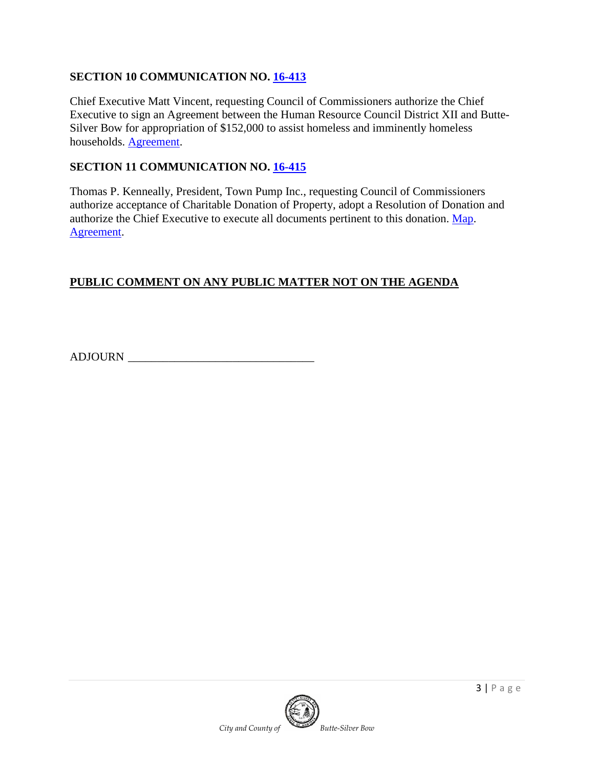#### **SECTION 10 COMMUNICATION NO. [16-413](http://co.silverbow.mt.us/DocumentCenter/View/8030)**

Chief Executive Matt Vincent, requesting Council of Commissioners authorize the Chief Executive to sign an Agreement between the Human Resource Council District XII and Butte-Silver Bow for appropriation of \$152,000 to assist homeless and imminently homeless households. [Agreement.](http://co.silverbow.mt.us/DocumentCenter/View/8029)

#### **SECTION 11 COMMUNICATION NO. [16-415](http://co.silverbow.mt.us/DocumentCenter/View/8025)**

Thomas P. Kenneally, President, Town Pump Inc., requesting Council of Commissioners authorize acceptance of Charitable Donation of Property, adopt a Resolution of Donation and authorize the Chief Executive to execute all documents pertinent to this donation. [Map.](http://co.silverbow.mt.us/DocumentCenter/View/8024) [Agreement.](http://co.silverbow.mt.us/DocumentCenter/View/8023)

#### **PUBLIC COMMENT ON ANY PUBLIC MATTER NOT ON THE AGENDA**

ADJOURN \_\_\_\_\_\_\_\_\_\_\_\_\_\_\_\_\_\_\_\_\_\_\_\_\_\_\_\_\_\_\_\_

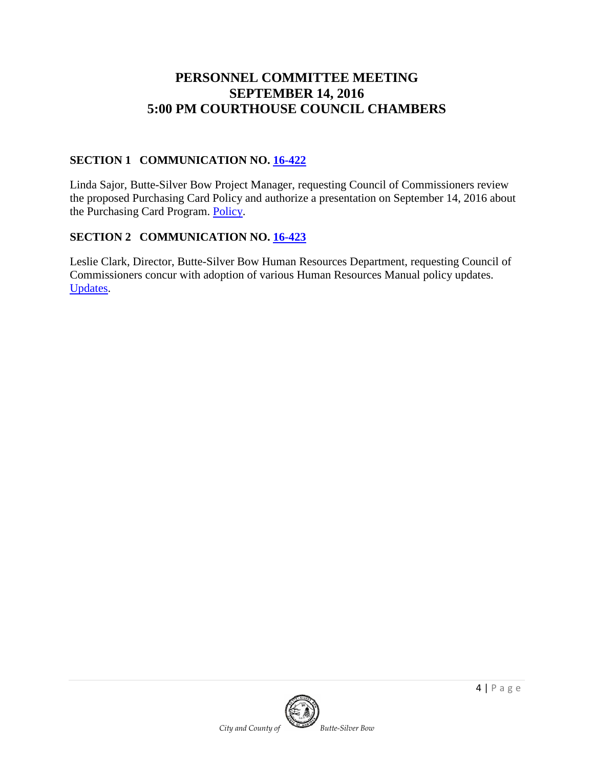# **PERSONNEL COMMITTEE MEETING SEPTEMBER 14, 2016 5:00 PM COURTHOUSE COUNCIL CHAMBERS**

#### **SECTION 1 COMMUNICATION NO. [16-422](http://co.silverbow.mt.us/DocumentCenter/View/8057)**

Linda Sajor, Butte-Silver Bow Project Manager, requesting Council of Commissioners review the proposed Purchasing Card Policy and authorize a presentation on September 14, 2016 about the Purchasing Card Program. [Policy.](http://co.silverbow.mt.us/DocumentCenter/View/8007)

# **SECTION 2 COMMUNICATION NO. [16-423](http://co.silverbow.mt.us/DocumentCenter/View/8006)**

Leslie Clark, Director, Butte-Silver Bow Human Resources Department, requesting Council of Commissioners concur with adoption of various Human Resources Manual policy updates. [Updates.](http://co.silverbow.mt.us/DocumentCenter/View/8005)

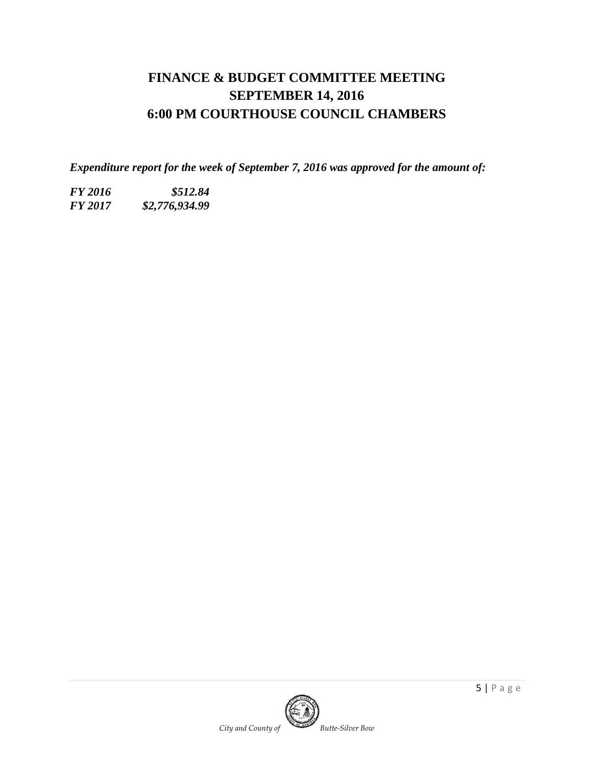# **FINANCE & BUDGET COMMITTEE MEETING SEPTEMBER 14, 2016 6:00 PM COURTHOUSE COUNCIL CHAMBERS**

*Expenditure report for the week of September 7, 2016 was approved for the amount of:*

*FY 2016 \$512.84 FY 2017 \$2,776,934.99*

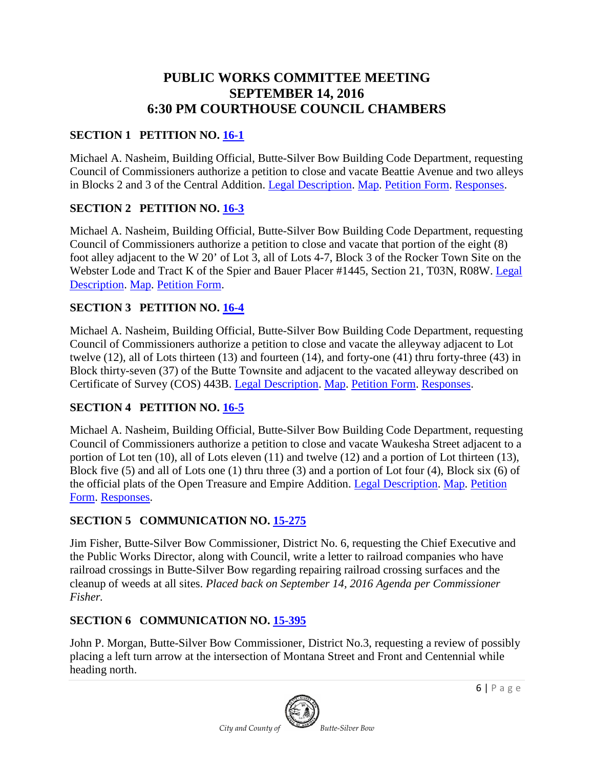# **PUBLIC WORKS COMMITTEE MEETING SEPTEMBER 14, 2016 6:30 PM COURTHOUSE COUNCIL CHAMBERS**

## **SECTION 1 PETITION NO. [16-1](http://co.silverbow.mt.us/DocumentCenter/View/7891)**

Michael A. Nasheim, Building Official, Butte-Silver Bow Building Code Department, requesting Council of Commissioners authorize a petition to close and vacate Beattie Avenue and two alleys in Blocks 2 and 3 of the Central Addition. [Legal Description.](http://co.silverbow.mt.us/DocumentCenter/View/7892) [Map.](http://co.silverbow.mt.us/DocumentCenter/View/7893) [Petition Form.](http://co.silverbow.mt.us/DocumentCenter/View/7894) [Responses.](http://co.silverbow.mt.us/DocumentCenter/View/7915)

#### **SECTION 2 PETITION NO. [16-3](http://co.silverbow.mt.us/DocumentCenter/View/7550)**

Michael A. Nasheim, Building Official, Butte-Silver Bow Building Code Department, requesting Council of Commissioners authorize a petition to close and vacate that portion of the eight (8) foot alley adjacent to the W 20' of Lot 3, all of Lots 4-7, Block 3 of the Rocker Town Site on the Webster Lode and Tract K of the Spier and Bauer Placer #1445, Section 21, T03N, R08W. [Legal](http://co.silverbow.mt.us/DocumentCenter/View/7552) [Description.](http://co.silverbow.mt.us/DocumentCenter/View/7552) [Map.](http://co.silverbow.mt.us/DocumentCenter/View/7553) [Petition Form.](http://co.silverbow.mt.us/DocumentCenter/View/7551)

#### **SECTION 3 PETITION NO. [16-4](http://www.co.silverbow.mt.us/DocumentCenter/View/7993)**

Michael A. Nasheim, Building Official, Butte-Silver Bow Building Code Department, requesting Council of Commissioners authorize a petition to close and vacate the alleyway adjacent to Lot twelve (12), all of Lots thirteen (13) and fourteen (14), and forty-one (41) thru forty-three (43) in Block thirty-seven (37) of the Butte Townsite and adjacent to the vacated alleyway described on Certificate of Survey (COS) 443B. [Legal Description.](http://www.co.silverbow.mt.us/DocumentCenter/View/7990) [Map.](http://www.co.silverbow.mt.us/DocumentCenter/View/7991) [Petition Form.](http://www.co.silverbow.mt.us/DocumentCenter/View/7992) [Responses.](http://co.silverbow.mt.us/DocumentCenter/View/8095)

#### **SECTION 4 PETITION NO. [16-5](http://www.co.silverbow.mt.us/DocumentCenter/View/7997)**

Michael A. Nasheim, Building Official, Butte-Silver Bow Building Code Department, requesting Council of Commissioners authorize a petition to close and vacate Waukesha Street adjacent to a portion of Lot ten (10), all of Lots eleven (11) and twelve (12) and a portion of Lot thirteen (13), Block five (5) and all of Lots one (1) thru three (3) and a portion of Lot four (4), Block six (6) of the official plats of the Open Treasure and Empire Addition. [Legal Description.](http://www.co.silverbow.mt.us/DocumentCenter/View/7994) [Map.](http://www.co.silverbow.mt.us/DocumentCenter/View/7995) [Petition](http://www.co.silverbow.mt.us/DocumentCenter/View/7996)  [Form.](http://www.co.silverbow.mt.us/DocumentCenter/View/7996) [Responses.](http://co.silverbow.mt.us/DocumentCenter/View/8096)

#### **SECTION 5 COMMUNICATION NO. [15-275](http://co.silverbow.mt.us/DocumentCenter/View/4912)**

Jim Fisher, Butte-Silver Bow Commissioner, District No. 6, requesting the Chief Executive and the Public Works Director, along with Council, write a letter to railroad companies who have railroad crossings in Butte-Silver Bow regarding repairing railroad crossing surfaces and the cleanup of weeds at all sites. *Placed back on September 14, 2016 Agenda per Commissioner Fisher.*

#### **SECTION 6 COMMUNICATION NO. [15-395](http://co.silverbow.mt.us/DocumentCenter/View/5303)**

John P. Morgan, Butte-Silver Bow Commissioner, District No.3, requesting a review of possibly placing a left turn arrow at the intersection of Montana Street and Front and Centennial while heading north.